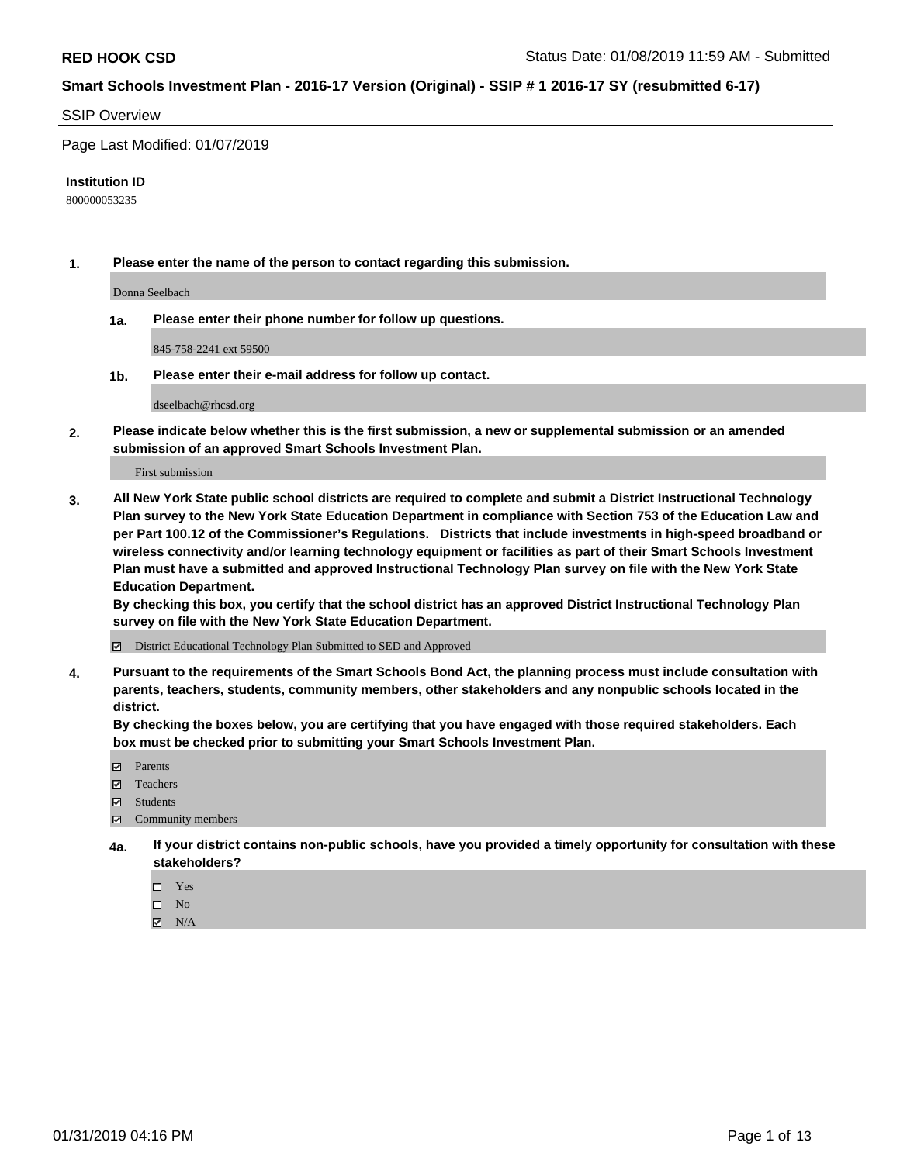#### SSIP Overview

Page Last Modified: 01/07/2019

#### **Institution ID**

800000053235

**1. Please enter the name of the person to contact regarding this submission.**

Donna Seelbach

**1a. Please enter their phone number for follow up questions.**

845-758-2241 ext 59500

**1b. Please enter their e-mail address for follow up contact.**

dseelbach@rhcsd.org

**2. Please indicate below whether this is the first submission, a new or supplemental submission or an amended submission of an approved Smart Schools Investment Plan.**

First submission

**3. All New York State public school districts are required to complete and submit a District Instructional Technology Plan survey to the New York State Education Department in compliance with Section 753 of the Education Law and per Part 100.12 of the Commissioner's Regulations. Districts that include investments in high-speed broadband or wireless connectivity and/or learning technology equipment or facilities as part of their Smart Schools Investment Plan must have a submitted and approved Instructional Technology Plan survey on file with the New York State Education Department.** 

**By checking this box, you certify that the school district has an approved District Instructional Technology Plan survey on file with the New York State Education Department.**

District Educational Technology Plan Submitted to SED and Approved

**4. Pursuant to the requirements of the Smart Schools Bond Act, the planning process must include consultation with parents, teachers, students, community members, other stakeholders and any nonpublic schools located in the district.** 

**By checking the boxes below, you are certifying that you have engaged with those required stakeholders. Each box must be checked prior to submitting your Smart Schools Investment Plan.**

- **□** Parents
- Teachers
- Students
- $\boxtimes$  Community members
- **4a. If your district contains non-public schools, have you provided a timely opportunity for consultation with these stakeholders?**
	- $\Box$  Yes
	- $\qquad \qquad$  No
	- $\blacksquare$  N/A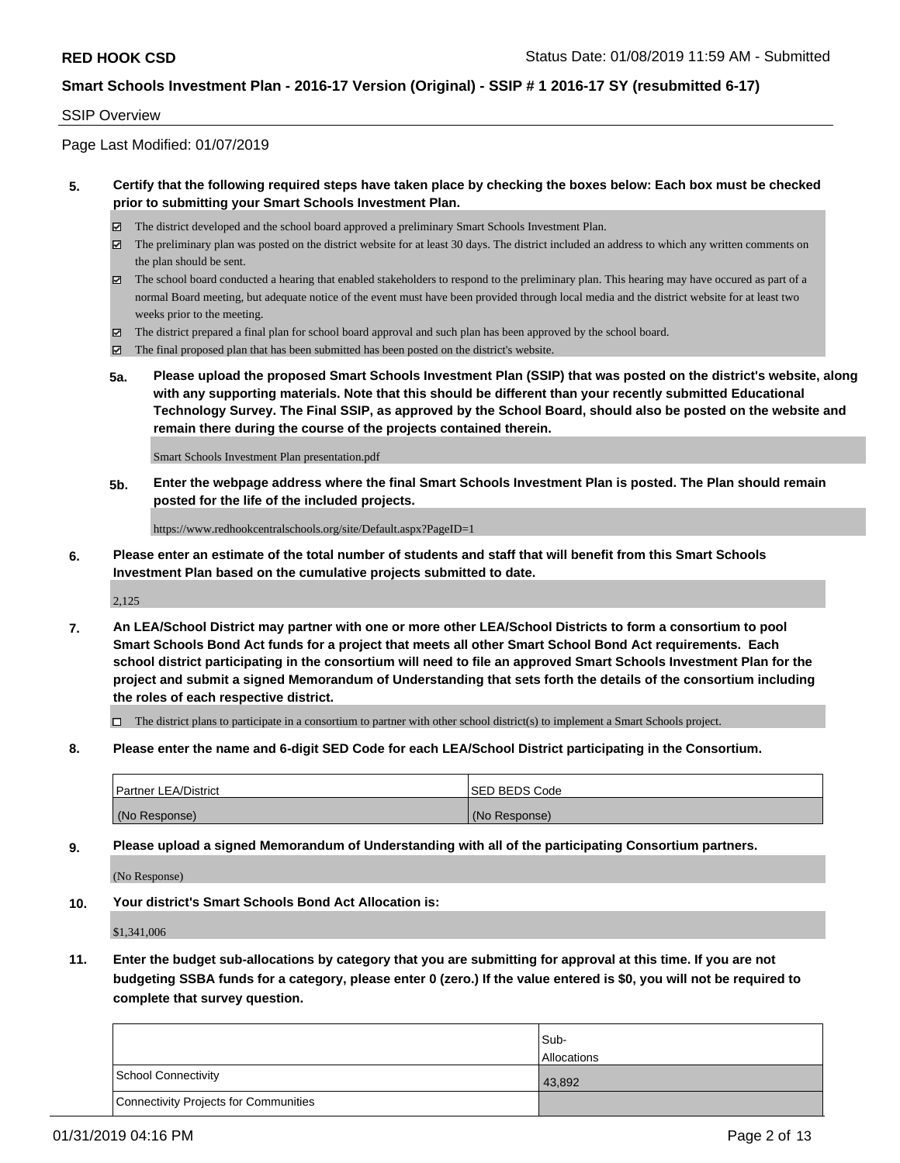#### SSIP Overview

Page Last Modified: 01/07/2019

#### **5. Certify that the following required steps have taken place by checking the boxes below: Each box must be checked prior to submitting your Smart Schools Investment Plan.**

- The district developed and the school board approved a preliminary Smart Schools Investment Plan.
- $\boxtimes$  The preliminary plan was posted on the district website for at least 30 days. The district included an address to which any written comments on the plan should be sent.
- $\boxtimes$  The school board conducted a hearing that enabled stakeholders to respond to the preliminary plan. This hearing may have occured as part of a normal Board meeting, but adequate notice of the event must have been provided through local media and the district website for at least two weeks prior to the meeting.
- The district prepared a final plan for school board approval and such plan has been approved by the school board.
- $\boxtimes$  The final proposed plan that has been submitted has been posted on the district's website.
- **5a. Please upload the proposed Smart Schools Investment Plan (SSIP) that was posted on the district's website, along with any supporting materials. Note that this should be different than your recently submitted Educational Technology Survey. The Final SSIP, as approved by the School Board, should also be posted on the website and remain there during the course of the projects contained therein.**

Smart Schools Investment Plan presentation.pdf

**5b. Enter the webpage address where the final Smart Schools Investment Plan is posted. The Plan should remain posted for the life of the included projects.**

https://www.redhookcentralschools.org/site/Default.aspx?PageID=1

**6. Please enter an estimate of the total number of students and staff that will benefit from this Smart Schools Investment Plan based on the cumulative projects submitted to date.**

2,125

**7. An LEA/School District may partner with one or more other LEA/School Districts to form a consortium to pool Smart Schools Bond Act funds for a project that meets all other Smart School Bond Act requirements. Each school district participating in the consortium will need to file an approved Smart Schools Investment Plan for the project and submit a signed Memorandum of Understanding that sets forth the details of the consortium including the roles of each respective district.**

 $\Box$  The district plans to participate in a consortium to partner with other school district(s) to implement a Smart Schools project.

**8. Please enter the name and 6-digit SED Code for each LEA/School District participating in the Consortium.**

| <b>Partner LEA/District</b> | <b>ISED BEDS Code</b> |
|-----------------------------|-----------------------|
| (No Response)               | (No Response)         |

**9. Please upload a signed Memorandum of Understanding with all of the participating Consortium partners.**

(No Response)

**10. Your district's Smart Schools Bond Act Allocation is:**

\$1,341,006

**11. Enter the budget sub-allocations by category that you are submitting for approval at this time. If you are not budgeting SSBA funds for a category, please enter 0 (zero.) If the value entered is \$0, you will not be required to complete that survey question.**

|                                              | Sub-               |
|----------------------------------------------|--------------------|
|                                              | <b>Allocations</b> |
| <b>School Connectivity</b>                   | 43,892             |
| <b>Connectivity Projects for Communities</b> |                    |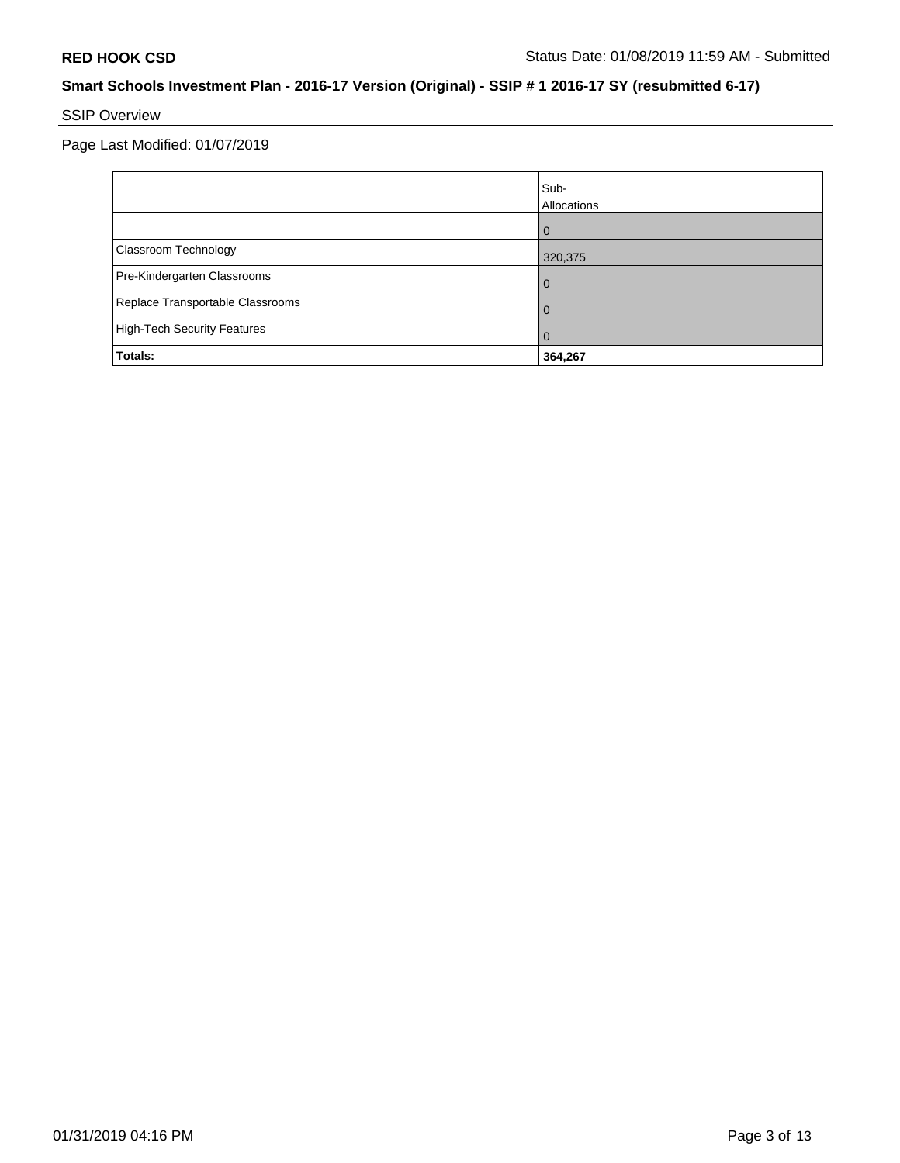# SSIP Overview

Page Last Modified: 01/07/2019

|                                    | Sub-<br>Allocations |
|------------------------------------|---------------------|
|                                    | $\Omega$            |
| Classroom Technology               | 320,375             |
| Pre-Kindergarten Classrooms        | 0                   |
| Replace Transportable Classrooms   | 0                   |
| <b>High-Tech Security Features</b> | O                   |
| Totals:                            | 364,267             |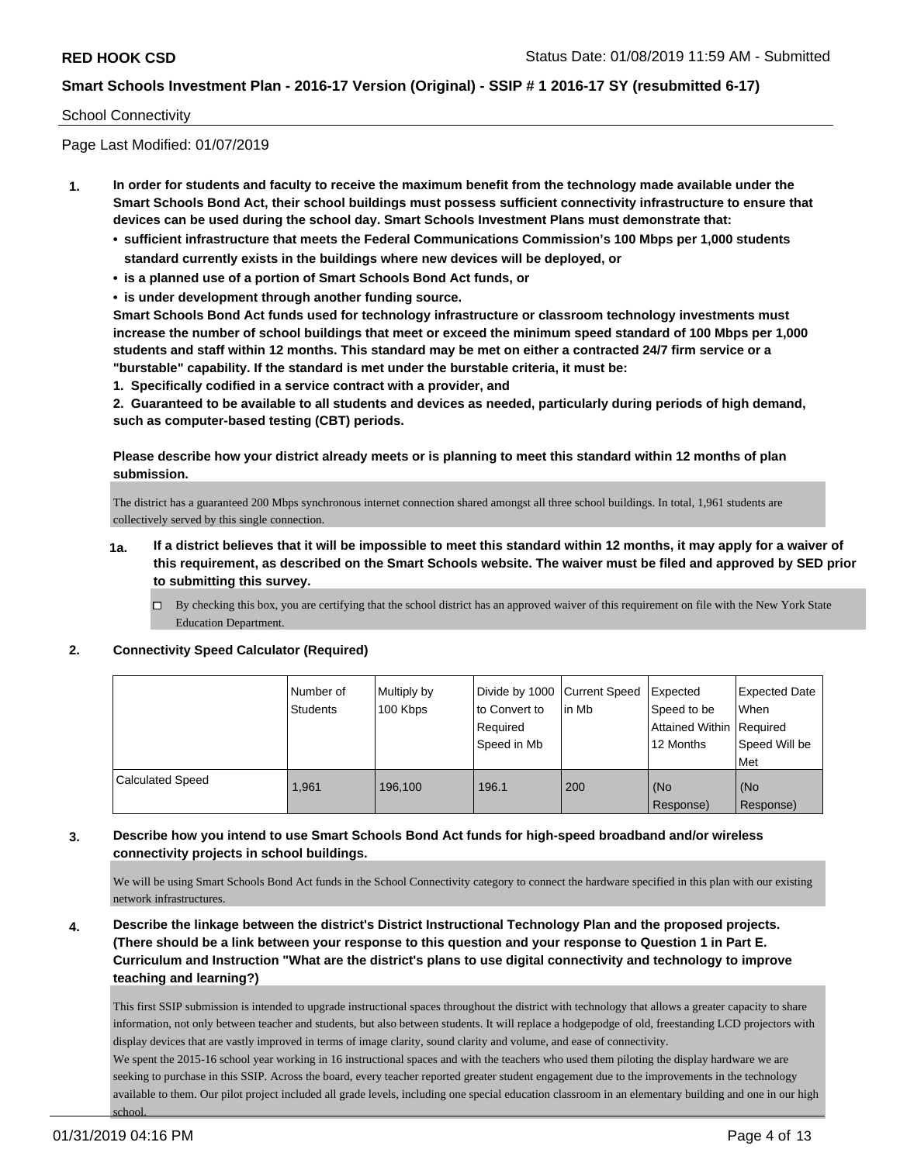#### School Connectivity

Page Last Modified: 01/07/2019

- **1. In order for students and faculty to receive the maximum benefit from the technology made available under the Smart Schools Bond Act, their school buildings must possess sufficient connectivity infrastructure to ensure that devices can be used during the school day. Smart Schools Investment Plans must demonstrate that:**
	- **• sufficient infrastructure that meets the Federal Communications Commission's 100 Mbps per 1,000 students standard currently exists in the buildings where new devices will be deployed, or**
	- **• is a planned use of a portion of Smart Schools Bond Act funds, or**
	- **• is under development through another funding source.**

**Smart Schools Bond Act funds used for technology infrastructure or classroom technology investments must increase the number of school buildings that meet or exceed the minimum speed standard of 100 Mbps per 1,000 students and staff within 12 months. This standard may be met on either a contracted 24/7 firm service or a "burstable" capability. If the standard is met under the burstable criteria, it must be:**

**1. Specifically codified in a service contract with a provider, and**

**2. Guaranteed to be available to all students and devices as needed, particularly during periods of high demand, such as computer-based testing (CBT) periods.**

**Please describe how your district already meets or is planning to meet this standard within 12 months of plan submission.**

The district has a guaranteed 200 Mbps synchronous internet connection shared amongst all three school buildings. In total, 1,961 students are collectively served by this single connection.

- **1a. If a district believes that it will be impossible to meet this standard within 12 months, it may apply for a waiver of this requirement, as described on the Smart Schools website. The waiver must be filed and approved by SED prior to submitting this survey.**
	- By checking this box, you are certifying that the school district has an approved waiver of this requirement on file with the New York State Education Department.

#### **2. Connectivity Speed Calculator (Required)**

|                         | I Number of<br><b>Students</b> | Multiply by<br>100 Kbps | Divide by 1000   Current Speed<br>to Convert to | lin Mb | Expected<br>Speed to be  | <b>Expected Date</b><br>When |
|-------------------------|--------------------------------|-------------------------|-------------------------------------------------|--------|--------------------------|------------------------------|
|                         |                                |                         | Required                                        |        | Attained Within Required |                              |
|                         |                                |                         | Speed in Mb                                     |        | 12 Months                | Speed Will be<br>Met         |
| <b>Calculated Speed</b> | 1.961                          | 196.100                 | 196.1                                           | 200    | (No                      | (No                          |
|                         |                                |                         |                                                 |        | Response)                | Response)                    |

#### **3. Describe how you intend to use Smart Schools Bond Act funds for high-speed broadband and/or wireless connectivity projects in school buildings.**

We will be using Smart Schools Bond Act funds in the School Connectivity category to connect the hardware specified in this plan with our existing network infrastructures.

**4. Describe the linkage between the district's District Instructional Technology Plan and the proposed projects. (There should be a link between your response to this question and your response to Question 1 in Part E. Curriculum and Instruction "What are the district's plans to use digital connectivity and technology to improve teaching and learning?)**

This first SSIP submission is intended to upgrade instructional spaces throughout the district with technology that allows a greater capacity to share information, not only between teacher and students, but also between students. It will replace a hodgepodge of old, freestanding LCD projectors with display devices that are vastly improved in terms of image clarity, sound clarity and volume, and ease of connectivity.

We spent the 2015-16 school year working in 16 instructional spaces and with the teachers who used them piloting the display hardware we are seeking to purchase in this SSIP. Across the board, every teacher reported greater student engagement due to the improvements in the technology available to them. Our pilot project included all grade levels, including one special education classroom in an elementary building and one in our high school.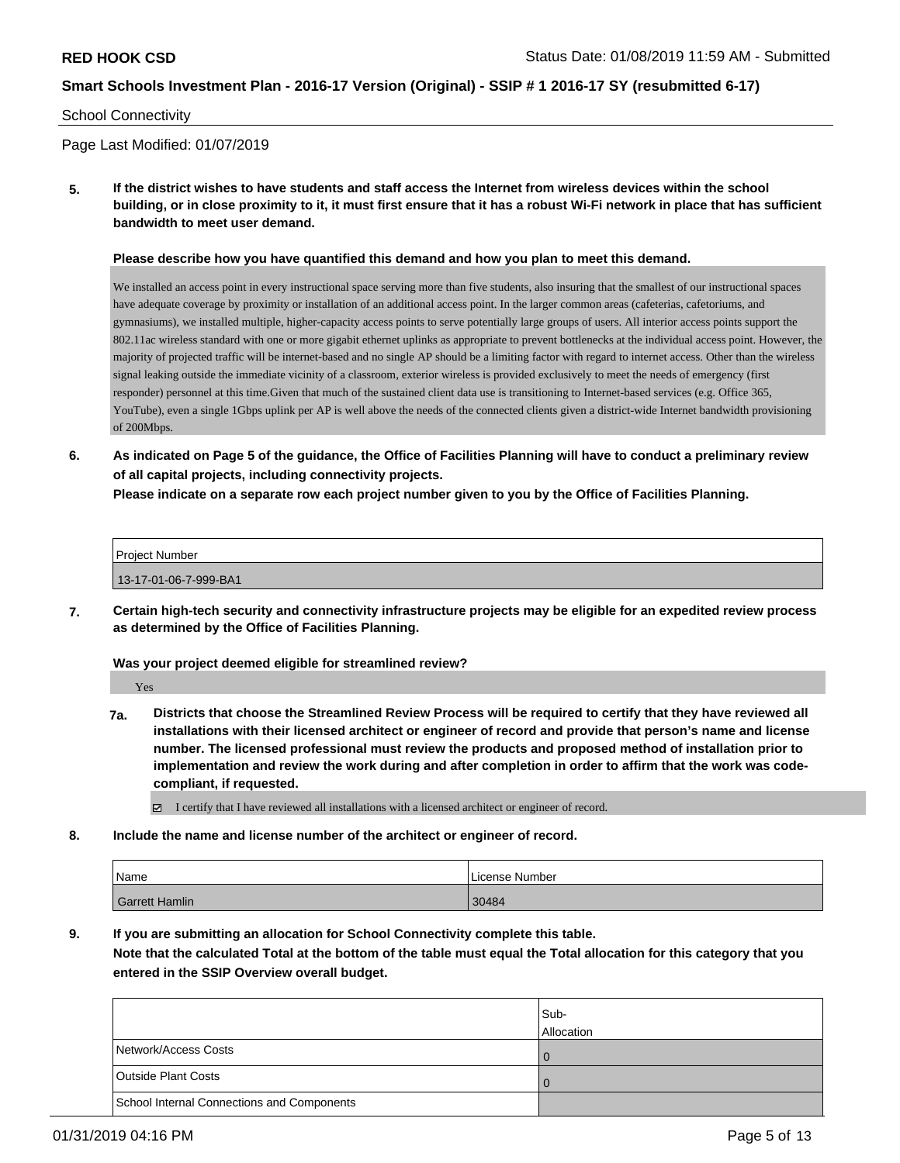#### School Connectivity

Page Last Modified: 01/07/2019

**5. If the district wishes to have students and staff access the Internet from wireless devices within the school building, or in close proximity to it, it must first ensure that it has a robust Wi-Fi network in place that has sufficient bandwidth to meet user demand.**

**Please describe how you have quantified this demand and how you plan to meet this demand.**

We installed an access point in every instructional space serving more than five students, also insuring that the smallest of our instructional spaces have adequate coverage by proximity or installation of an additional access point. In the larger common areas (cafeterias, cafetoriums, and gymnasiums), we installed multiple, higher-capacity access points to serve potentially large groups of users. All interior access points support the 802.11ac wireless standard with one or more gigabit ethernet uplinks as appropriate to prevent bottlenecks at the individual access point. However, the majority of projected traffic will be internet-based and no single AP should be a limiting factor with regard to internet access. Other than the wireless signal leaking outside the immediate vicinity of a classroom, exterior wireless is provided exclusively to meet the needs of emergency (first responder) personnel at this time.Given that much of the sustained client data use is transitioning to Internet-based services (e.g. Office 365, YouTube), even a single 1Gbps uplink per AP is well above the needs of the connected clients given a district-wide Internet bandwidth provisioning of 200Mbps.

**6. As indicated on Page 5 of the guidance, the Office of Facilities Planning will have to conduct a preliminary review of all capital projects, including connectivity projects.**

**Please indicate on a separate row each project number given to you by the Office of Facilities Planning.**

| <b>Project Number</b> |  |
|-----------------------|--|
| 13-17-01-06-7-999-BA1 |  |

**7. Certain high-tech security and connectivity infrastructure projects may be eligible for an expedited review process as determined by the Office of Facilities Planning.**

**Was your project deemed eligible for streamlined review?**

Yes

**7a. Districts that choose the Streamlined Review Process will be required to certify that they have reviewed all installations with their licensed architect or engineer of record and provide that person's name and license number. The licensed professional must review the products and proposed method of installation prior to implementation and review the work during and after completion in order to affirm that the work was codecompliant, if requested.**

I certify that I have reviewed all installations with a licensed architect or engineer of record.

**8. Include the name and license number of the architect or engineer of record.**

| Name                  | License Number |
|-----------------------|----------------|
| <b>Garrett Hamlin</b> | 30484          |

**9. If you are submitting an allocation for School Connectivity complete this table.**

**Note that the calculated Total at the bottom of the table must equal the Total allocation for this category that you entered in the SSIP Overview overall budget.** 

|                                                   | Sub-<br>Allocation |
|---------------------------------------------------|--------------------|
| Network/Access Costs                              | 0                  |
| <b>Outside Plant Costs</b>                        | $\Omega$           |
| <b>School Internal Connections and Components</b> |                    |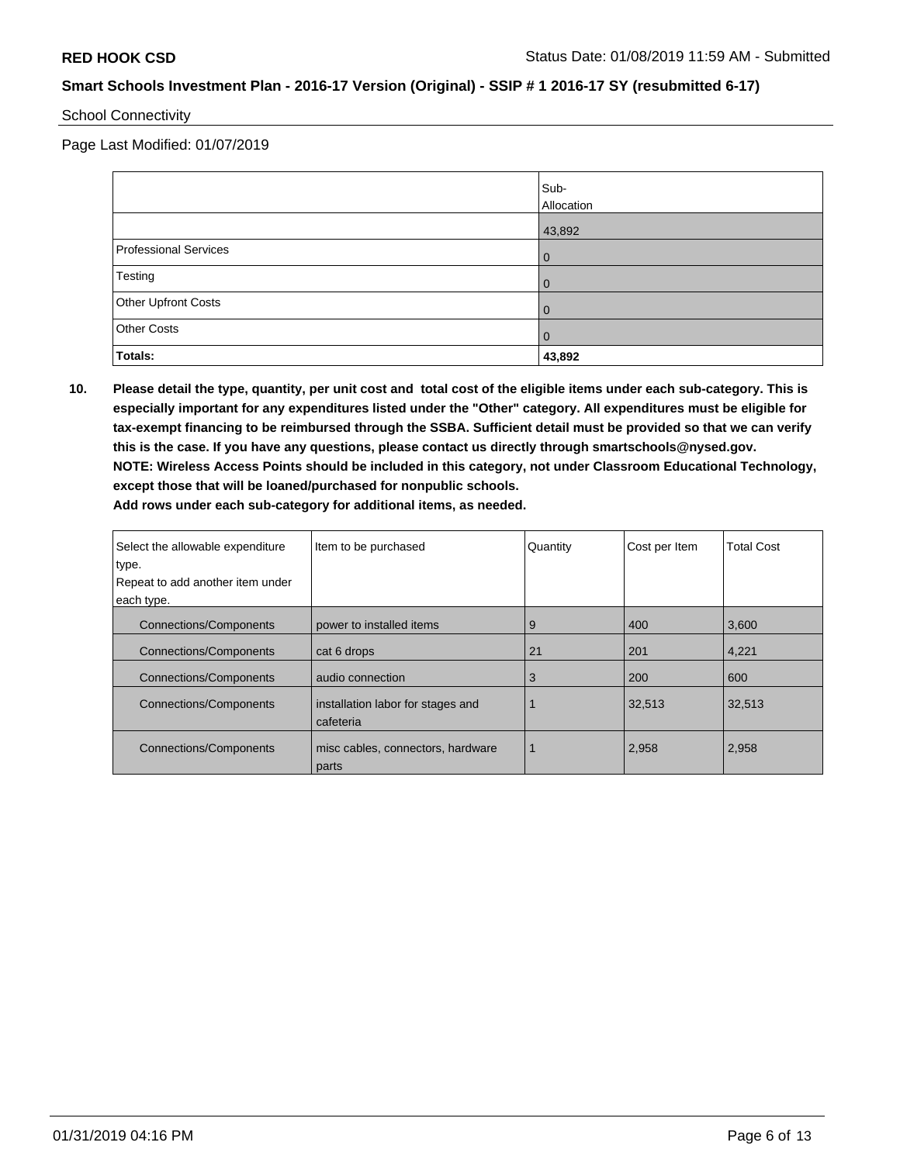### School Connectivity

Page Last Modified: 01/07/2019

|                              | Sub-<br>Allocation |
|------------------------------|--------------------|
|                              | 43,892             |
| <b>Professional Services</b> | 0                  |
| Testing                      | 0                  |
| Other Upfront Costs          | 0                  |
| <b>Other Costs</b>           | 0                  |
| Totals:                      | 43,892             |

**10. Please detail the type, quantity, per unit cost and total cost of the eligible items under each sub-category. This is especially important for any expenditures listed under the "Other" category. All expenditures must be eligible for tax-exempt financing to be reimbursed through the SSBA. Sufficient detail must be provided so that we can verify this is the case. If you have any questions, please contact us directly through smartschools@nysed.gov. NOTE: Wireless Access Points should be included in this category, not under Classroom Educational Technology, except those that will be loaned/purchased for nonpublic schools. Add rows under each sub-category for additional items, as needed.**

| Select the allowable expenditure<br>type. | Item to be purchased                           | Quantity | Cost per Item | <b>Total Cost</b> |
|-------------------------------------------|------------------------------------------------|----------|---------------|-------------------|
| Repeat to add another item under          |                                                |          |               |                   |
| each type.                                |                                                |          |               |                   |
| <b>Connections/Components</b>             | power to installed items                       | 9        | 400           | 3,600             |
| <b>Connections/Components</b>             | cat 6 drops                                    | 21       | 201           | 4,221             |
| <b>Connections/Components</b>             | audio connection                               | 3        | 200           | 600               |
| <b>Connections/Components</b>             | installation labor for stages and<br>cafeteria |          | 32,513        | 32,513            |
| <b>Connections/Components</b>             | misc cables, connectors, hardware<br>parts     |          | 2,958         | 2,958             |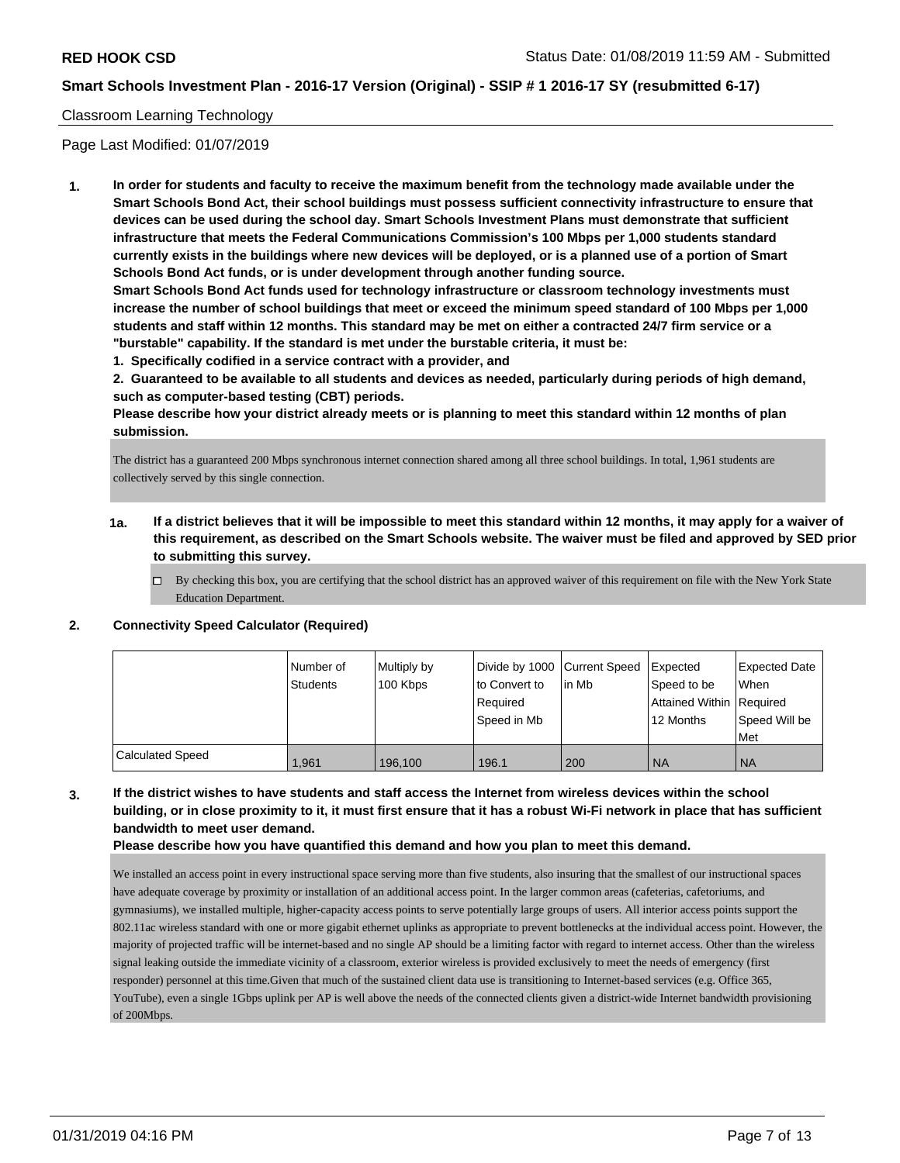#### Classroom Learning Technology

Page Last Modified: 01/07/2019

**1. In order for students and faculty to receive the maximum benefit from the technology made available under the Smart Schools Bond Act, their school buildings must possess sufficient connectivity infrastructure to ensure that devices can be used during the school day. Smart Schools Investment Plans must demonstrate that sufficient infrastructure that meets the Federal Communications Commission's 100 Mbps per 1,000 students standard currently exists in the buildings where new devices will be deployed, or is a planned use of a portion of Smart Schools Bond Act funds, or is under development through another funding source.**

**Smart Schools Bond Act funds used for technology infrastructure or classroom technology investments must increase the number of school buildings that meet or exceed the minimum speed standard of 100 Mbps per 1,000 students and staff within 12 months. This standard may be met on either a contracted 24/7 firm service or a "burstable" capability. If the standard is met under the burstable criteria, it must be:**

**1. Specifically codified in a service contract with a provider, and**

**2. Guaranteed to be available to all students and devices as needed, particularly during periods of high demand, such as computer-based testing (CBT) periods.**

**Please describe how your district already meets or is planning to meet this standard within 12 months of plan submission.**

The district has a guaranteed 200 Mbps synchronous internet connection shared among all three school buildings. In total, 1,961 students are collectively served by this single connection.

- **1a. If a district believes that it will be impossible to meet this standard within 12 months, it may apply for a waiver of this requirement, as described on the Smart Schools website. The waiver must be filed and approved by SED prior to submitting this survey.**
	- By checking this box, you are certifying that the school district has an approved waiver of this requirement on file with the New York State Education Department.

### **2. Connectivity Speed Calculator (Required)**

|                         | Number of<br>Students | Multiply by<br>100 Kbps | Divide by 1000 Current Speed<br>to Convert to<br>Required<br>Speed in Mb | lin Mb | Expected<br>Speed to be<br>Attained Within   Required<br>12 Months | <b>Expected Date</b><br>When<br>Speed Will be<br>Met |
|-------------------------|-----------------------|-------------------------|--------------------------------------------------------------------------|--------|--------------------------------------------------------------------|------------------------------------------------------|
| <b>Calculated Speed</b> | 1.961                 | 196.100                 | 196.1                                                                    | 200    | 'NA                                                                | <b>NA</b>                                            |

### **3. If the district wishes to have students and staff access the Internet from wireless devices within the school building, or in close proximity to it, it must first ensure that it has a robust Wi-Fi network in place that has sufficient bandwidth to meet user demand.**

**Please describe how you have quantified this demand and how you plan to meet this demand.**

We installed an access point in every instructional space serving more than five students, also insuring that the smallest of our instructional spaces have adequate coverage by proximity or installation of an additional access point. In the larger common areas (cafeterias, cafetoriums, and gymnasiums), we installed multiple, higher-capacity access points to serve potentially large groups of users. All interior access points support the 802.11ac wireless standard with one or more gigabit ethernet uplinks as appropriate to prevent bottlenecks at the individual access point. However, the majority of projected traffic will be internet-based and no single AP should be a limiting factor with regard to internet access. Other than the wireless signal leaking outside the immediate vicinity of a classroom, exterior wireless is provided exclusively to meet the needs of emergency (first responder) personnel at this time.Given that much of the sustained client data use is transitioning to Internet-based services (e.g. Office 365, YouTube), even a single 1Gbps uplink per AP is well above the needs of the connected clients given a district-wide Internet bandwidth provisioning of 200Mbps.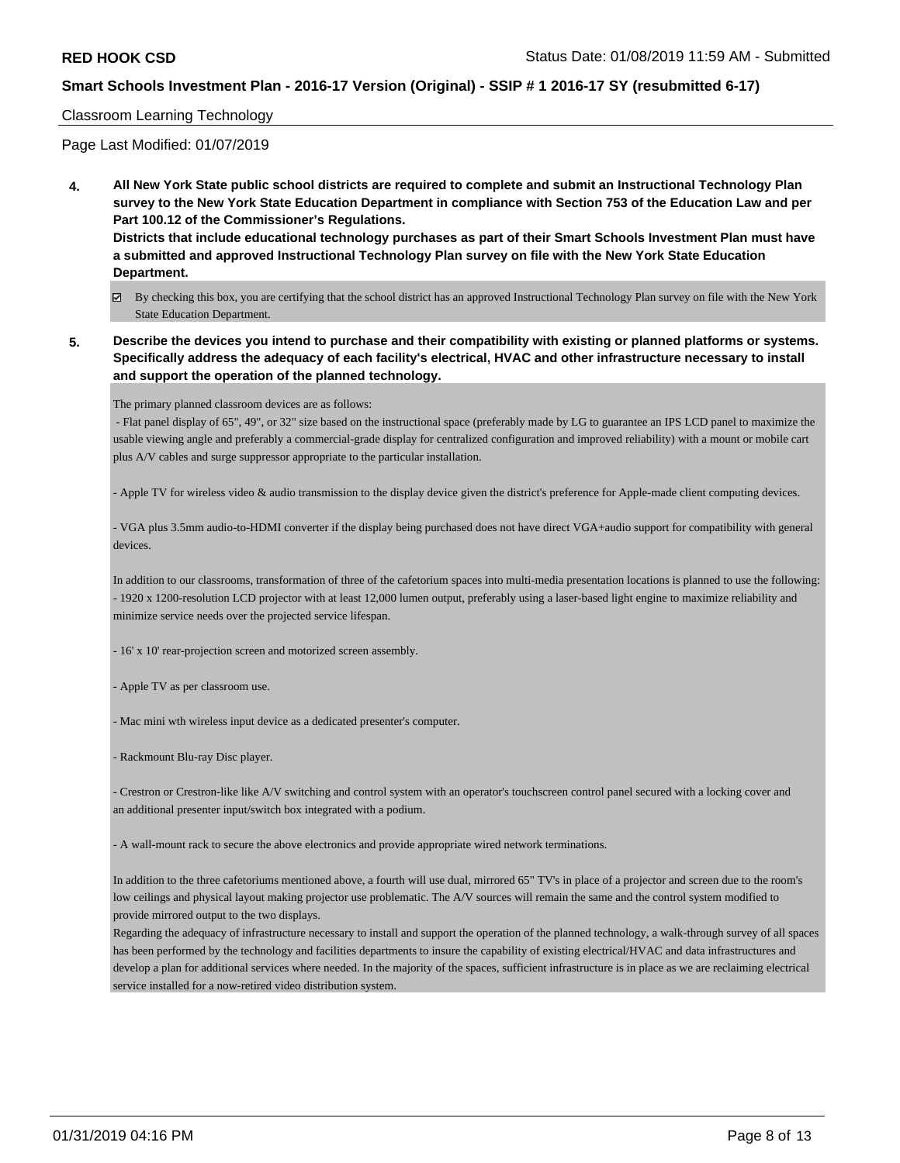#### Classroom Learning Technology

Page Last Modified: 01/07/2019

**4. All New York State public school districts are required to complete and submit an Instructional Technology Plan survey to the New York State Education Department in compliance with Section 753 of the Education Law and per Part 100.12 of the Commissioner's Regulations.**

**Districts that include educational technology purchases as part of their Smart Schools Investment Plan must have a submitted and approved Instructional Technology Plan survey on file with the New York State Education Department.**

- By checking this box, you are certifying that the school district has an approved Instructional Technology Plan survey on file with the New York State Education Department.
- **5. Describe the devices you intend to purchase and their compatibility with existing or planned platforms or systems. Specifically address the adequacy of each facility's electrical, HVAC and other infrastructure necessary to install and support the operation of the planned technology.**

The primary planned classroom devices are as follows:

 - Flat panel display of 65", 49", or 32" size based on the instructional space (preferably made by LG to guarantee an IPS LCD panel to maximize the usable viewing angle and preferably a commercial-grade display for centralized configuration and improved reliability) with a mount or mobile cart plus A/V cables and surge suppressor appropriate to the particular installation.

- Apple TV for wireless video & audio transmission to the display device given the district's preference for Apple-made client computing devices.

- VGA plus 3.5mm audio-to-HDMI converter if the display being purchased does not have direct VGA+audio support for compatibility with general devices.

In addition to our classrooms, transformation of three of the cafetorium spaces into multi-media presentation locations is planned to use the following: - 1920 x 1200-resolution LCD projector with at least 12,000 lumen output, preferably using a laser-based light engine to maximize reliability and minimize service needs over the projected service lifespan.

- 16' x 10' rear-projection screen and motorized screen assembly.

- Apple TV as per classroom use.

- Mac mini wth wireless input device as a dedicated presenter's computer.

- Rackmount Blu-ray Disc player.

- Crestron or Crestron-like like A/V switching and control system with an operator's touchscreen control panel secured with a locking cover and an additional presenter input/switch box integrated with a podium.

- A wall-mount rack to secure the above electronics and provide appropriate wired network terminations.

In addition to the three cafetoriums mentioned above, a fourth will use dual, mirrored 65" TV's in place of a projector and screen due to the room's low ceilings and physical layout making projector use problematic. The A/V sources will remain the same and the control system modified to provide mirrored output to the two displays.

Regarding the adequacy of infrastructure necessary to install and support the operation of the planned technology, a walk-through survey of all spaces has been performed by the technology and facilities departments to insure the capability of existing electrical/HVAC and data infrastructures and develop a plan for additional services where needed. In the majority of the spaces, sufficient infrastructure is in place as we are reclaiming electrical service installed for a now-retired video distribution system.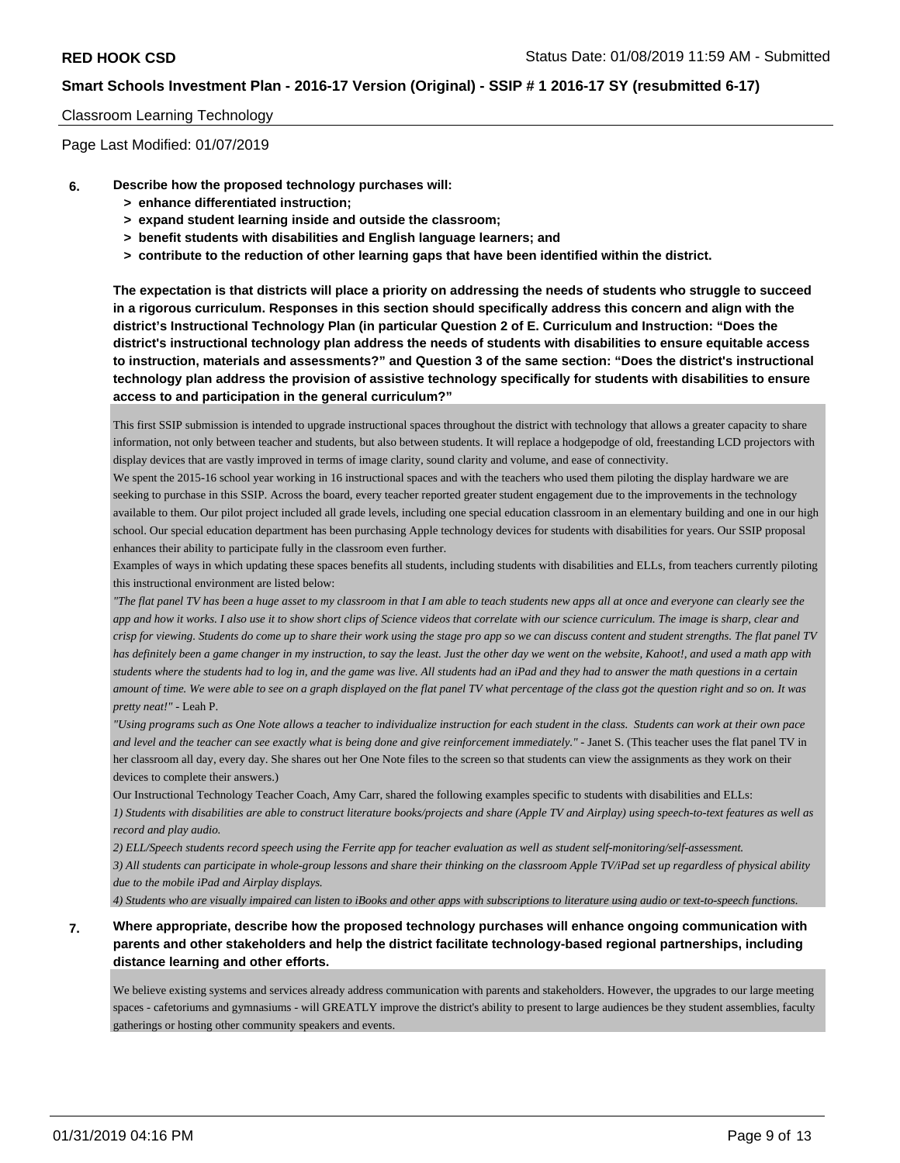#### Classroom Learning Technology

Page Last Modified: 01/07/2019

- **6. Describe how the proposed technology purchases will:**
	- **> enhance differentiated instruction;**
	- **> expand student learning inside and outside the classroom;**
	- **> benefit students with disabilities and English language learners; and**
	- **> contribute to the reduction of other learning gaps that have been identified within the district.**

**The expectation is that districts will place a priority on addressing the needs of students who struggle to succeed in a rigorous curriculum. Responses in this section should specifically address this concern and align with the district's Instructional Technology Plan (in particular Question 2 of E. Curriculum and Instruction: "Does the district's instructional technology plan address the needs of students with disabilities to ensure equitable access to instruction, materials and assessments?" and Question 3 of the same section: "Does the district's instructional technology plan address the provision of assistive technology specifically for students with disabilities to ensure access to and participation in the general curriculum?"**

This first SSIP submission is intended to upgrade instructional spaces throughout the district with technology that allows a greater capacity to share information, not only between teacher and students, but also between students. It will replace a hodgepodge of old, freestanding LCD projectors with display devices that are vastly improved in terms of image clarity, sound clarity and volume, and ease of connectivity.

We spent the 2015-16 school year working in 16 instructional spaces and with the teachers who used them piloting the display hardware we are seeking to purchase in this SSIP. Across the board, every teacher reported greater student engagement due to the improvements in the technology available to them. Our pilot project included all grade levels, including one special education classroom in an elementary building and one in our high school. Our special education department has been purchasing Apple technology devices for students with disabilities for years. Our SSIP proposal enhances their ability to participate fully in the classroom even further.

Examples of ways in which updating these spaces benefits all students, including students with disabilities and ELLs, from teachers currently piloting this instructional environment are listed below:

*"The flat panel TV has been a huge asset to my classroom in that I am able to teach students new apps all at once and everyone can clearly see the app and how it works. I also use it to show short clips of Science videos that correlate with our science curriculum. The image is sharp, clear and crisp for viewing. Students do come up to share their work using the stage pro app so we can discuss content and student strengths. The flat panel TV has definitely been a game changer in my instruction, to say the least. Just the other day we went on the website, Kahoot!, and used a math app with students where the students had to log in, and the game was live. All students had an iPad and they had to answer the math questions in a certain amount of time. We were able to see on a graph displayed on the flat panel TV what percentage of the class got the question right and so on. It was pretty neat!"* - Leah P.

*"Using programs such as One Note allows a teacher to individualize instruction for each student in the class. Students can work at their own pace and level and the teacher can see exactly what is being done and give reinforcement immediately."* - Janet S. (This teacher uses the flat panel TV in her classroom all day, every day. She shares out her One Note files to the screen so that students can view the assignments as they work on their devices to complete their answers.)

Our Instructional Technology Teacher Coach, Amy Carr, shared the following examples specific to students with disabilities and ELLs: *1) Students with disabilities are able to construct literature books/projects and share (Apple TV and Airplay) using speech-to-text features as well as record and play audio.*

*2) ELL/Speech students record speech using the Ferrite app for teacher evaluation as well as student self-monitoring/self-assessment.*

*3) All students can participate in whole-group lessons and share their thinking on the classroom Apple TV/iPad set up regardless of physical ability due to the mobile iPad and Airplay displays.*

*4) Students who are visually impaired can listen to iBooks and other apps with subscriptions to literature using audio or text-to-speech functions.*

### **7. Where appropriate, describe how the proposed technology purchases will enhance ongoing communication with parents and other stakeholders and help the district facilitate technology-based regional partnerships, including distance learning and other efforts.**

We believe existing systems and services already address communication with parents and stakeholders. However, the upgrades to our large meeting spaces - cafetoriums and gymnasiums - will GREATLY improve the district's ability to present to large audiences be they student assemblies, faculty gatherings or hosting other community speakers and events.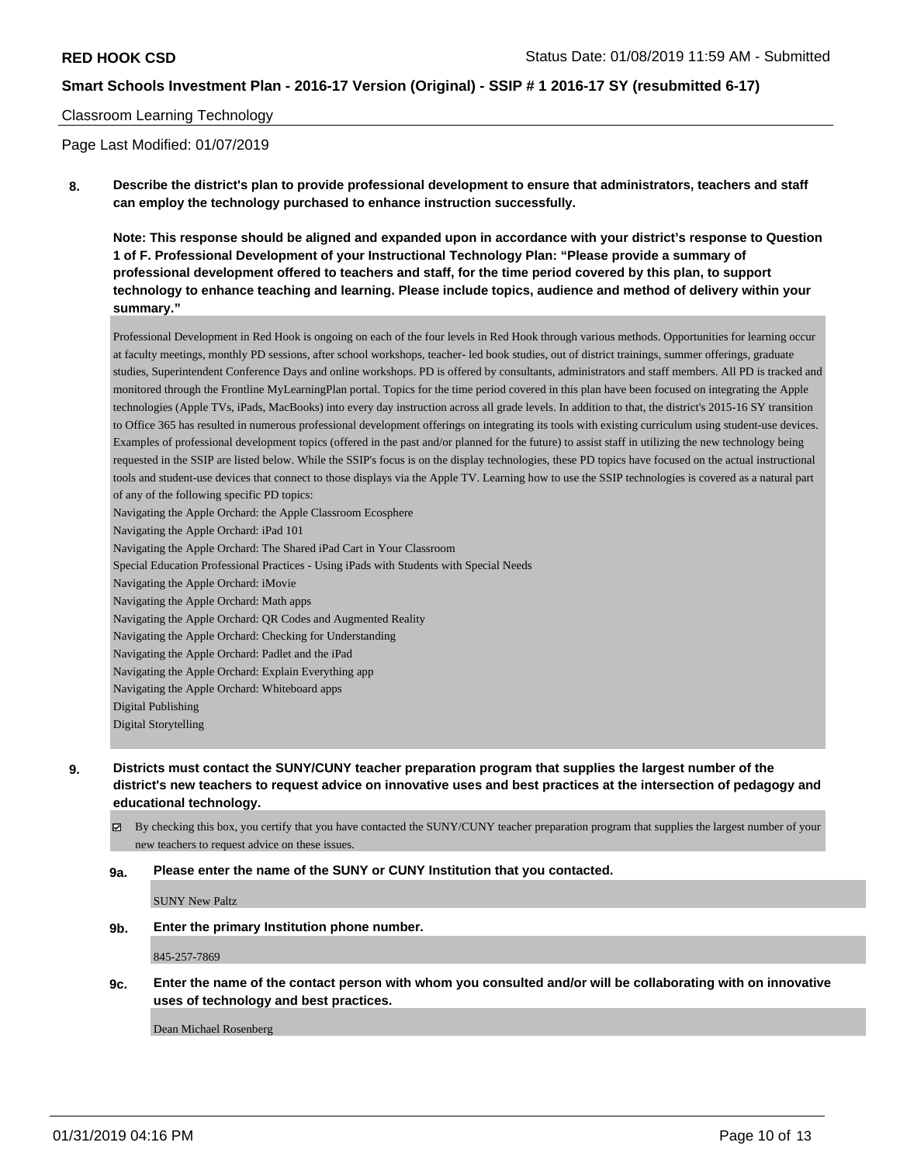#### Classroom Learning Technology

Page Last Modified: 01/07/2019

**8. Describe the district's plan to provide professional development to ensure that administrators, teachers and staff can employ the technology purchased to enhance instruction successfully.**

**Note: This response should be aligned and expanded upon in accordance with your district's response to Question 1 of F. Professional Development of your Instructional Technology Plan: "Please provide a summary of professional development offered to teachers and staff, for the time period covered by this plan, to support technology to enhance teaching and learning. Please include topics, audience and method of delivery within your summary."**

Professional Development in Red Hook is ongoing on each of the four levels in Red Hook through various methods. Opportunities for learning occur at faculty meetings, monthly PD sessions, after school workshops, teacher- led book studies, out of district trainings, summer offerings, graduate studies, Superintendent Conference Days and online workshops. PD is offered by consultants, administrators and staff members. All PD is tracked and monitored through the Frontline MyLearningPlan portal. Topics for the time period covered in this plan have been focused on integrating the Apple technologies (Apple TVs, iPads, MacBooks) into every day instruction across all grade levels. In addition to that, the district's 2015-16 SY transition to Office 365 has resulted in numerous professional development offerings on integrating its tools with existing curriculum using student-use devices. Examples of professional development topics (offered in the past and/or planned for the future) to assist staff in utilizing the new technology being requested in the SSIP are listed below. While the SSIP's focus is on the display technologies, these PD topics have focused on the actual instructional tools and student-use devices that connect to those displays via the Apple TV. Learning how to use the SSIP technologies is covered as a natural part of any of the following specific PD topics: Navigating the Apple Orchard: the Apple Classroom Ecosphere Navigating the Apple Orchard: iPad 101 Navigating the Apple Orchard: The Shared iPad Cart in Your Classroom Special Education Professional Practices - Using iPads with Students with Special Needs Navigating the Apple Orchard: iMovie Navigating the Apple Orchard: Math apps Navigating the Apple Orchard: QR Codes and Augmented Reality Navigating the Apple Orchard: Checking for Understanding Navigating the Apple Orchard: Padlet and the iPad Navigating the Apple Orchard: Explain Everything app

Navigating the Apple Orchard: Whiteboard apps

- Digital Publishing
- Digital Storytelling
- **9. Districts must contact the SUNY/CUNY teacher preparation program that supplies the largest number of the district's new teachers to request advice on innovative uses and best practices at the intersection of pedagogy and educational technology.**
	- By checking this box, you certify that you have contacted the SUNY/CUNY teacher preparation program that supplies the largest number of your new teachers to request advice on these issues.

#### **9a. Please enter the name of the SUNY or CUNY Institution that you contacted.**

SUNY New Paltz

**9b. Enter the primary Institution phone number.**

845-257-7869

**9c. Enter the name of the contact person with whom you consulted and/or will be collaborating with on innovative uses of technology and best practices.**

Dean Michael Rosenberg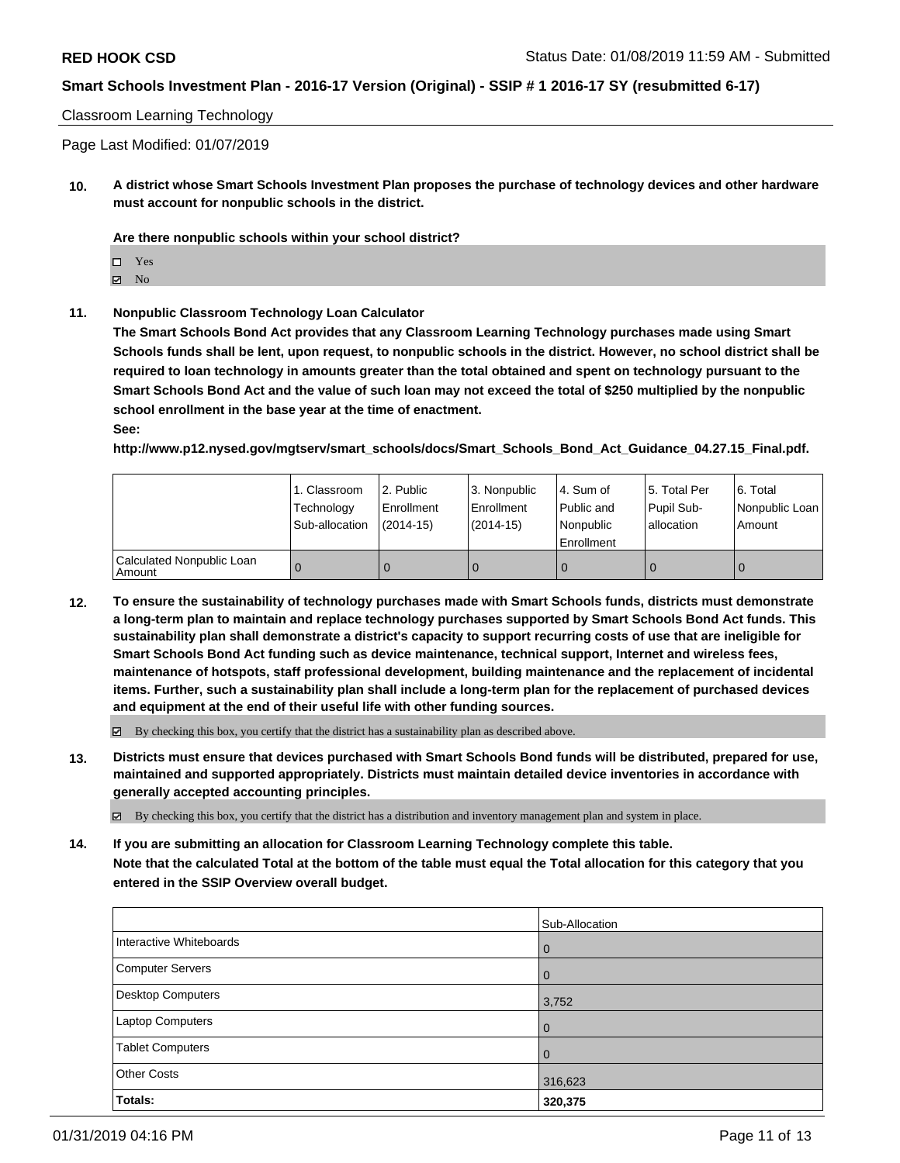#### Classroom Learning Technology

Page Last Modified: 01/07/2019

**10. A district whose Smart Schools Investment Plan proposes the purchase of technology devices and other hardware must account for nonpublic schools in the district.**

**Are there nonpublic schools within your school district?**

Yes

 $\boxtimes$  No

**11. Nonpublic Classroom Technology Loan Calculator**

**The Smart Schools Bond Act provides that any Classroom Learning Technology purchases made using Smart Schools funds shall be lent, upon request, to nonpublic schools in the district. However, no school district shall be required to loan technology in amounts greater than the total obtained and spent on technology pursuant to the Smart Schools Bond Act and the value of such loan may not exceed the total of \$250 multiplied by the nonpublic school enrollment in the base year at the time of enactment.**

**See:**

**http://www.p12.nysed.gov/mgtserv/smart\_schools/docs/Smart\_Schools\_Bond\_Act\_Guidance\_04.27.15\_Final.pdf.**

|                                       | 1. Classroom<br>Technology<br>Sub-allocation | l 2. Public<br>Enrollment<br>$(2014 - 15)$ | l 3. Nonpublic<br>Enrollment<br>$(2014-15)$ | l 4. Sum of<br>Public and<br>Nonpublic<br>Enrollment | 15. Total Per<br>Pupil Sub-<br>lallocation | 6. Total<br>Nonpublic Loan<br>Amount |
|---------------------------------------|----------------------------------------------|--------------------------------------------|---------------------------------------------|------------------------------------------------------|--------------------------------------------|--------------------------------------|
| Calculated Nonpublic Loan<br>l Amount |                                              |                                            | 0                                           |                                                      |                                            | 0                                    |

**12. To ensure the sustainability of technology purchases made with Smart Schools funds, districts must demonstrate a long-term plan to maintain and replace technology purchases supported by Smart Schools Bond Act funds. This sustainability plan shall demonstrate a district's capacity to support recurring costs of use that are ineligible for Smart Schools Bond Act funding such as device maintenance, technical support, Internet and wireless fees, maintenance of hotspots, staff professional development, building maintenance and the replacement of incidental items. Further, such a sustainability plan shall include a long-term plan for the replacement of purchased devices and equipment at the end of their useful life with other funding sources.**

 $\boxtimes$  By checking this box, you certify that the district has a sustainability plan as described above.

**13. Districts must ensure that devices purchased with Smart Schools Bond funds will be distributed, prepared for use, maintained and supported appropriately. Districts must maintain detailed device inventories in accordance with generally accepted accounting principles.**

By checking this box, you certify that the district has a distribution and inventory management plan and system in place.

**14. If you are submitting an allocation for Classroom Learning Technology complete this table. Note that the calculated Total at the bottom of the table must equal the Total allocation for this category that you entered in the SSIP Overview overall budget.**

|                          | Sub-Allocation |
|--------------------------|----------------|
| Interactive Whiteboards  | 0              |
| <b>Computer Servers</b>  | 0              |
| <b>Desktop Computers</b> | 3,752          |
| Laptop Computers         | 0              |
| <b>Tablet Computers</b>  | 0              |
| <b>Other Costs</b>       | 316,623        |
| Totals:                  | 320,375        |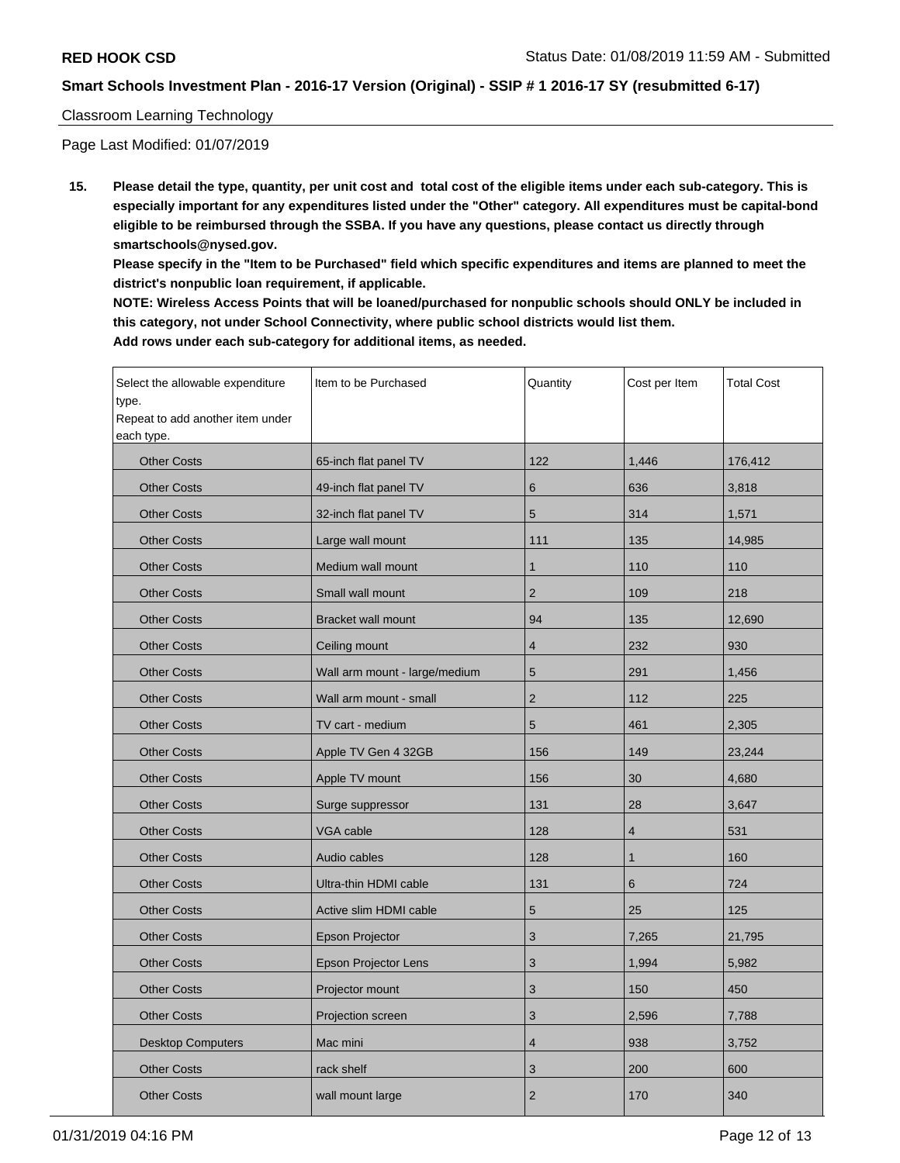### Classroom Learning Technology

Page Last Modified: 01/07/2019

**15. Please detail the type, quantity, per unit cost and total cost of the eligible items under each sub-category. This is especially important for any expenditures listed under the "Other" category. All expenditures must be capital-bond eligible to be reimbursed through the SSBA. If you have any questions, please contact us directly through smartschools@nysed.gov.**

**Please specify in the "Item to be Purchased" field which specific expenditures and items are planned to meet the district's nonpublic loan requirement, if applicable.**

**NOTE: Wireless Access Points that will be loaned/purchased for nonpublic schools should ONLY be included in this category, not under School Connectivity, where public school districts would list them. Add rows under each sub-category for additional items, as needed.**

| Select the allowable expenditure<br>type.<br>Repeat to add another item under<br>each type. | Item to be Purchased          | Quantity       | Cost per Item | <b>Total Cost</b> |
|---------------------------------------------------------------------------------------------|-------------------------------|----------------|---------------|-------------------|
| <b>Other Costs</b>                                                                          | 65-inch flat panel TV         | 122            | 1,446         | 176,412           |
| <b>Other Costs</b>                                                                          | 49-inch flat panel TV         | 6              | 636           | 3,818             |
| <b>Other Costs</b>                                                                          | 32-inch flat panel TV         | 5              | 314           | 1,571             |
| <b>Other Costs</b>                                                                          | Large wall mount              | 111            | 135           | 14,985            |
| <b>Other Costs</b>                                                                          | Medium wall mount             | 1              | 110           | 110               |
| <b>Other Costs</b>                                                                          | Small wall mount              | $\overline{2}$ | 109           | 218               |
| <b>Other Costs</b>                                                                          | <b>Bracket wall mount</b>     | 94             | 135           | 12,690            |
| <b>Other Costs</b>                                                                          | Ceiling mount                 | $\overline{4}$ | 232           | 930               |
| <b>Other Costs</b>                                                                          | Wall arm mount - large/medium | 5              | 291           | 1,456             |
| <b>Other Costs</b>                                                                          | Wall arm mount - small        | $\overline{2}$ | 112           | 225               |
| <b>Other Costs</b>                                                                          | TV cart - medium              | 5              | 461           | 2,305             |
| <b>Other Costs</b>                                                                          | Apple TV Gen 4 32GB           | 156            | 149           | 23,244            |
| <b>Other Costs</b>                                                                          | Apple TV mount                | 156            | 30            | 4,680             |
| <b>Other Costs</b>                                                                          | Surge suppressor              | 131            | 28            | 3,647             |
| <b>Other Costs</b>                                                                          | VGA cable                     | 128            | 4             | 531               |
| <b>Other Costs</b>                                                                          | Audio cables                  | 128            | 1             | 160               |
| <b>Other Costs</b>                                                                          | Ultra-thin HDMI cable         | 131            | 6             | 724               |
| <b>Other Costs</b>                                                                          | Active slim HDMI cable        | 5              | 25            | 125               |
| <b>Other Costs</b>                                                                          | Epson Projector               | 3              | 7,265         | 21,795            |
| <b>Other Costs</b>                                                                          | <b>Epson Projector Lens</b>   | 3              | 1,994         | 5,982             |
| <b>Other Costs</b>                                                                          | Projector mount               | 3              | 150           | 450               |
| <b>Other Costs</b>                                                                          | Projection screen             | 3              | 2,596         | 7,788             |
| <b>Desktop Computers</b>                                                                    | Mac mini                      | 4              | 938           | 3,752             |
| <b>Other Costs</b>                                                                          | rack shelf                    | 3              | 200           | 600               |
| <b>Other Costs</b>                                                                          | wall mount large              | $\overline{2}$ | 170           | 340               |